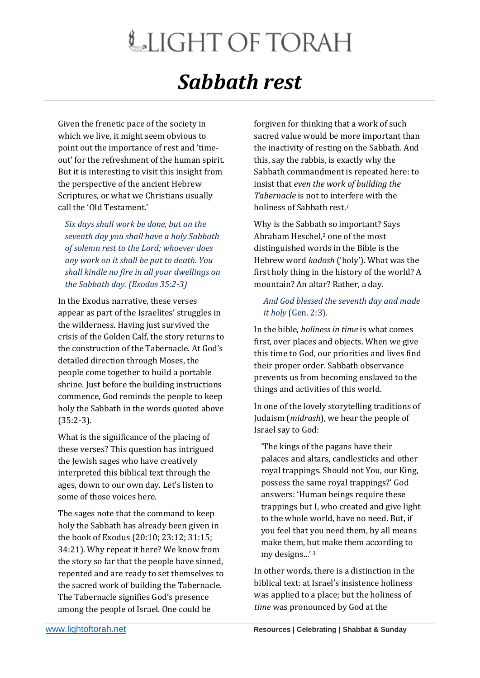## LIGHT OF TORAH *Sabbath rest*

Given the frenetic pace of the society in which we live, it might seem obvious to point out the importance of rest and 'timeout' for the refreshment of the human spirit. But it is interesting to visit this insight from the perspective of the ancient Hebrew Scriptures, or what we Christians usually call the 'Old Testament.'

*Six days shall work be done, but on the seventh day you shall have a holy Sabbath of solemn rest to the Lord; whoever does any work on it shall be put to death. You shall kindle no fire in all your dwellings on the Sabbath day. (Exodus 35:2-3)*

In the Exodus narrative, these verses appear as part of the Israelites' struggles in the wilderness. Having just survived the crisis of the Golden Calf, the story returns to the construction of the Tabernacle. At God's detailed direction through Moses, the people come together to build a portable shrine. Just before the building instructions commence, God reminds the people to keep holy the Sabbath in the words quoted above (35:2-3).

What is the significance of the placing of these verses? This question has intrigued the Jewish sages who have creatively interpreted this biblical text through the ages, down to our own day. Let's listen to some of those voices here.

The sages note that the command to keep holy the Sabbath has already been given in the book of Exodus (20:10; 23:12; 31:15; 34:21). Why repeat it here? We know from the story so far that the people have sinned, repented and are ready to set themselves to the sacred work of building the Tabernacle. The Tabernacle signifies God's presence among the people of Israel. One could be

forgiven for thinking that a work of such sacred value would be more important than the inactivity of resting on the Sabbath. And this, say the rabbis, is exactly why the Sabbath commandment is repeated here: to insist that *even the work of building the Tabernacle* is not to interfere with the holiness of Sabbath rest.*<sup>1</sup>*

Why is the Sabbath so important? Says Abraham Heschel,<sup>2</sup> one of the most distinguished words in the Bible is the Hebrew word *kadosh* ('holy'). What was the first holy thing in the history of the world? A mountain? An altar? Rather, a day.

## *And God blessed the seventh day and made it holy* (Gen. 2:3).

In the bible, *holiness in time* is what comes first, over places and objects. When we give this time to God, our priorities and lives find their proper order. Sabbath observance prevents us from becoming enslaved to the things and activities of this world.

In one of the lovely storytelling traditions of Judaism (*midrash*), we hear the people of Israel say to God:

'The kings of the pagans have their palaces and altars, candlesticks and other royal trappings. Should not You, our King, possess the same royal trappings?' God answers: 'Human beings require these trappings but I, who created and give light to the whole world, have no need. But, if you feel that you need them, by all means make them, but make them according to my designs...' <sup>3</sup>

In other words, there is a distinction in the biblical text: at Israel's insistence holiness was applied to a place; but the holiness of *time* was pronounced by God at the